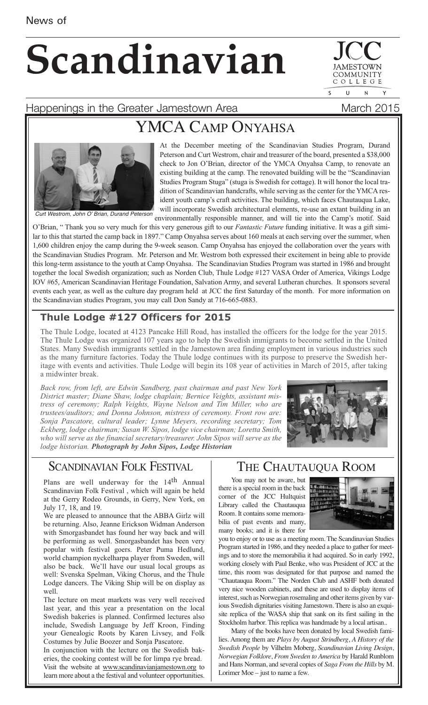# **Scandinavian**

COMMUNIT COLLEGE  $\mathbf{U}$  $\overline{N}$ 

Happenings in the Greater Jamestown Area **March 2015** 

## YMCA CAMP ONYAHSA



At the December meeting of the Scandinavian Studies Program, Durand Peterson and Curt Westrom, chair and treasurer of the board, presented a \$38,000 check to Jon O'Brian, director of the YMCA Onyahsa Camp, to renovate an existing building at the camp. The renovated building will be the "Scandinavian Studies Program Stuga" (stuga is Swedish for cottage). It will honor the local tradition of Scandinavian handcrafts, while serving as the center for the YMCA resident youth camp's craft activities. The building, which faces Chautauqua Lake, will incorporate Swedish architectural elements, re-use an extant building in an Curt Westrom, John O' Brian, Durand Peterson<br>
environmentally responsible manner, and will tie into the Camp's motif. Said

O'Brian, " Thank you so very much for this very generous gift to our *Fantastic Future* funding initiative. It was a gift similar to this that started the camp back in 1897." Camp Onyahsa serves about 160 meals at each serving over the summer, when 1,600 children enjoy the camp during the 9-week season. Camp Onyahsa has enjoyed the collaboration over the years with the Scandinavian Studies Program. Mr. Peterson and Mr. Westrom both expressed their excitement in being able to provide this long-term assistance to the youth at Camp Onyahsa. The Scandinavian Studies Program was started in 1986 and brought together the local Swedish organization; such as Norden Club, Thule Lodge #127 VASA Order of America, Vikings Lodge IOV #65, American Scandinavian Heritage Foundation, Salvation Army, and several Lutheran churches. It sponsors several events each year, as well as the culture day program held at JCC the first Saturday of the month. For more information on the Scandinavian studies Program, you may call Don Sandy at 716-665-0883.

#### **Thule Lodge #127 Officers for 2015**

The Thule Lodge, located at 4123 Pancake Hill Road, has installed the officers for the lodge for the year 2015. The Thule Lodge was organized 107 years ago to help the Swedish immigrants to become settled in the United States. Many Swedish immigrants settled in the Jamestown area finding employment in various industries such as the many furniture factories. Today the Thule lodge continues with its purpose to preserve the Swedish heritage with events and activities. Thule Lodge will begin its 108 year of activities in March of 2015, after taking a midwinter break.

*Back row, from left, are Edwin Sandberg, past chairman and past New York District master; Diane Shaw, lodge chaplain; Bernice Veights, assistant mistress of ceremony; Ralph Veights, Wayne Nelson and Tim Miller, who are trustees/auditors; and Donna Johnson, mistress of ceremony. Front row are: Sonja Pascatore, cultural leader; Lynne Meyers, recording secretary; Tom Eckberg, lodge chairman; Susan W. Sipos, lodge vice chairman; Loretta Smith, who will serve as the financial secretary/treasurer. John Sipos will serve as the lodge historian. Photograph by John Sipos, Lodge Historian*



#### SCANDINAVIAN FOLK FESTIVAL

Plans are well underway for the 14<sup>th</sup> Annual Scandinavian Folk Festival , which will again be held at the Gerry Rodeo Grounds, in Gerry, New York, on July 17, 18, and 19.

We are pleased to announce that the ABBA Girlz will be returning. Also, Jeanne Erickson Widman Anderson with Smorgasbandet has found her way back and will be performing as well. Smorgasbandet has been very popular with festival goers. Peter Puma Hedlund, world champion nyckelharpa player from Sweden, will also be back. We'll have our usual local groups as well: Svenska Spelman, Viking Chorus, and the Thule Lodge dancers. The Viking Ship will be on display as well.

The lecture on meat markets was very well received last year, and this year a presentation on the local Swedish bakeries is planned. Confirmed lectures also include, Swedish Language by Jeff Kroon, Finding your Genealogic Roots by Karen Livsey, and Folk Costumes by Julie Boozer and Sonja Pascatore.

In conjunction with the lecture on the Swedish bakeries, the cooking contest will be for limpa rye bread. Visit the website at www.scandinavianjamestown.org to learn more about a the festival and volunteer opportunities.

#### THE CHAUTAUQUA ROOM

You may not be aware, but there is a special room in the back corner of the JCC Hultquist Library called the Chautauqua Room. It contains some memorabilia of past events and many, many books; and it is there for



you to enjoy or to use as a meeting room. The Scandinavian Studies Program started in 1986, and they needed a place to gather for meetings and to store the memorabilia it had acquired. So in early 1992, working closely with Paul Benke, who was President of JCC at the time, this room was designated for that purpose and named the "Chautauqua Room." The Norden Club and ASHF both donated very nice wooden cabinets, and these are used to display items of interest, such as Norwegian rosemaling and other items given by various Swedish dignitaries visiting Jamestown. There is also an exquisite replica of the WASA ship that sank on its first sailing in the Stockholm harbor. This replica was handmade by a local artisan..

Many of the books have been donated by local Swedish families. Among them are *Plays by August Strindberg*, *A History of the Swedish People* by Vilhelm Moberg, *Scandinavian Living Design*, *Norwegian Folklore*, *From Sweden to America* by Harald Runblom and Hans Norman, and several copies of *Saga From the Hills* by M. Lorimer Moe – just to name a few.